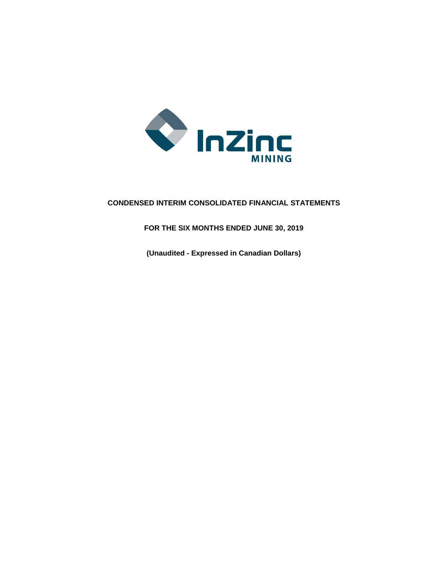

# **CONDENSED INTERIM CONSOLIDATED FINANCIAL STATEMENTS**

**FOR THE SIX MONTHS ENDED JUNE 30, 2019**

**(Unaudited - Expressed in Canadian Dollars)**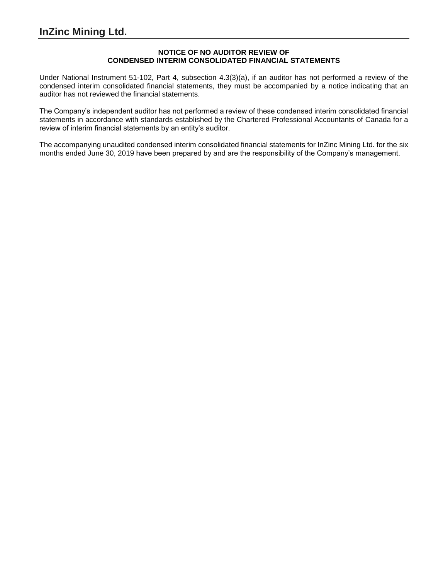# **NOTICE OF NO AUDITOR REVIEW OF CONDENSED INTERIM CONSOLIDATED FINANCIAL STATEMENTS**

Under National Instrument 51-102, Part 4, subsection 4.3(3)(a), if an auditor has not performed a review of the condensed interim consolidated financial statements, they must be accompanied by a notice indicating that an auditor has not reviewed the financial statements.

The Company's independent auditor has not performed a review of these condensed interim consolidated financial statements in accordance with standards established by the Chartered Professional Accountants of Canada for a review of interim financial statements by an entity's auditor.

The accompanying unaudited condensed interim consolidated financial statements for InZinc Mining Ltd. for the six months ended June 30, 2019 have been prepared by and are the responsibility of the Company's management.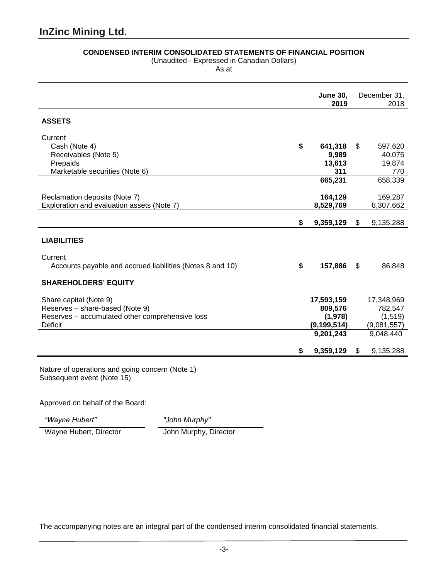# **CONDENSED INTERIM CONSOLIDATED STATEMENTS OF FINANCIAL POSITION**

(Unaudited - Expressed in Canadian Dollars)

As at

|                                                           | <b>June 30,</b><br>2019 | December 31,<br>2018 |
|-----------------------------------------------------------|-------------------------|----------------------|
| <b>ASSETS</b>                                             |                         |                      |
| Current                                                   |                         |                      |
| Cash (Note 4)                                             | \$<br>641,318           | \$<br>597,620        |
| Receivables (Note 5)                                      | 9,989                   | 40,075               |
| Prepaids                                                  | 13,613                  | 19,874               |
| Marketable securities (Note 6)                            | 311                     | 770                  |
|                                                           | 665,231                 | 658,339              |
| Reclamation deposits (Note 7)                             | 164,129                 | 169,287              |
| Exploration and evaluation assets (Note 7)                | 8,529,769               | 8,307,662            |
|                                                           | \$<br>9,359,129         | \$<br>9,135,288      |
| <b>LIABILITIES</b>                                        |                         |                      |
| Current                                                   |                         |                      |
| Accounts payable and accrued liabilities (Notes 8 and 10) | \$<br>157,886           | \$<br>86,848         |
| <b>SHAREHOLDERS' EQUITY</b>                               |                         |                      |
| Share capital (Note 9)                                    | 17,593,159              | 17,348,969           |
| Reserves - share-based (Note 9)                           | 809,576                 | 782,547              |
| Reserves - accumulated other comprehensive loss           | (1,978)                 | (1,519)              |
| <b>Deficit</b>                                            | (9, 199, 514)           | (9,081,557)          |
|                                                           | 9,201,243               | 9,048,440            |
|                                                           | \$<br>9,359,129         | \$<br>9,135,288      |
|                                                           |                         |                      |

Nature of operations and going concern (Note 1) Subsequent event (Note 15)

Approved on behalf of the Board:

*"Wayne Hubert" "John Murphy"*

Wayne Hubert, Director John Murphy, Director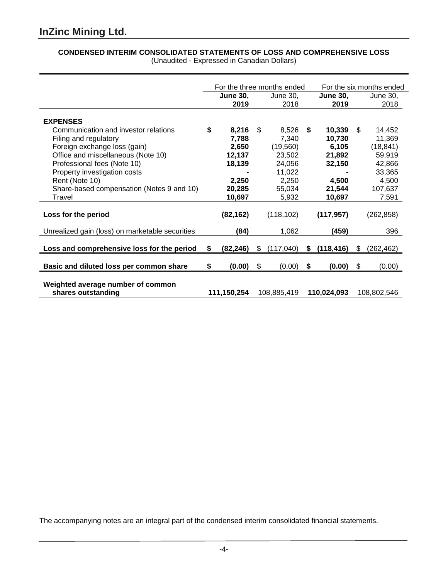# **CONDENSED INTERIM CONSOLIDATED STATEMENTS OF LOSS AND COMPREHENSIVE LOSS** (Unaudited - Expressed in Canadian Dollars)

|                                                         | For the three months ended |                         |    | For the six months ended |    |                         |    |                  |
|---------------------------------------------------------|----------------------------|-------------------------|----|--------------------------|----|-------------------------|----|------------------|
|                                                         |                            | <b>June 30,</b><br>2019 |    | June 30,<br>2018         |    | <b>June 30,</b><br>2019 |    | June 30,<br>2018 |
| <b>EXPENSES</b>                                         |                            |                         |    |                          |    |                         |    |                  |
| Communication and investor relations                    | \$                         | 8,216                   | \$ | 8,526                    | S. | 10,339                  | \$ | 14,452           |
| Filing and regulatory                                   |                            | 7,788                   |    | 7,340                    |    | 10,730                  |    | 11,369           |
| Foreign exchange loss (gain)                            |                            | 2,650                   |    | (19, 560)                |    | 6,105                   |    | (18, 841)        |
| Office and miscellaneous (Note 10)                      |                            | 12,137                  |    | 23,502                   |    | 21,892                  |    | 59,919           |
| Professional fees (Note 10)                             |                            | 18,139                  |    | 24,056                   |    | 32,150                  |    | 42,866           |
| Property investigation costs                            |                            |                         |    | 11,022                   |    |                         |    | 33,365           |
| Rent (Note 10)                                          |                            | 2,250                   |    | 2,250                    |    | 4,500                   |    | 4,500            |
| Share-based compensation (Notes 9 and 10)               |                            | 20,285                  |    | 55,034                   |    | 21,544                  |    | 107,637          |
| Travel                                                  |                            | 10,697                  |    | 5,932                    |    | 10,697                  |    | 7,591            |
| Loss for the period                                     |                            | (82, 162)               |    | (118, 102)               |    | (117, 957)              |    | (262, 858)       |
| Unrealized gain (loss) on marketable securities         |                            | (84)                    |    | 1,062                    |    | (459)                   |    | 396              |
| Loss and comprehensive loss for the period              | \$                         | (82,246)                | \$ | (117, 040)               | \$ | (118, 416)              | \$ | (262, 462)       |
| Basic and diluted loss per common share                 | \$                         | (0.00)                  | \$ | (0.00)                   | \$ | (0.00)                  | \$ | (0.00)           |
| Weighted average number of common<br>shares outstanding |                            | 111,150,254             |    | 108,885,419              |    | 110,024,093             |    | 108,802,546      |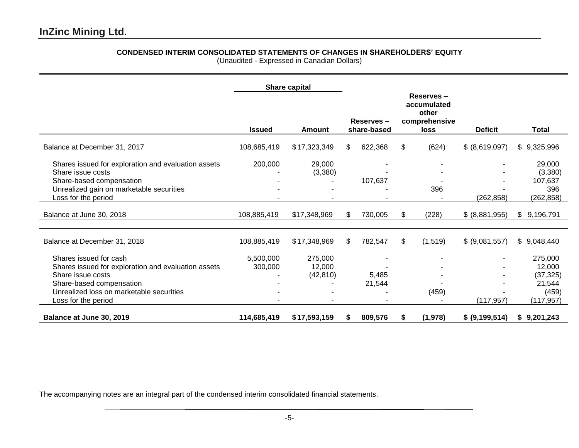# **CONDENSED INTERIM CONSOLIDATED STATEMENTS OF CHANGES IN SHAREHOLDERS' EQUITY**

(Unaudited - Expressed in Canadian Dollars)

|                                                                                                                                                                                                   |                      | Share capital                  |                          |                 |    |          |                |                                                                 |  |  |  |  |  |  |  |  |  |  |  |  |  |  |  |  |  |  |  |  |  |  |  |  |  |  |  |  |  |  |  |  |  |  |  |  |  |  |  |  |  |  |  |  |                                                            |  |                |              |
|---------------------------------------------------------------------------------------------------------------------------------------------------------------------------------------------------|----------------------|--------------------------------|--------------------------|-----------------|----|----------|----------------|-----------------------------------------------------------------|--|--|--|--|--|--|--|--|--|--|--|--|--|--|--|--|--|--|--|--|--|--|--|--|--|--|--|--|--|--|--|--|--|--|--|--|--|--|--|--|--|--|--|--|------------------------------------------------------------|--|----------------|--------------|
|                                                                                                                                                                                                   | <b>Issued</b>        | Amount                         | Reserves-<br>share-based |                 |    |          |                |                                                                 |  |  |  |  |  |  |  |  |  |  |  |  |  |  |  |  |  |  |  |  |  |  |  |  |  |  |  |  |  |  |  |  |  |  |  |  |  |  |  |  |  |  |  |  | Reserves-<br>accumulated<br>other<br>comprehensive<br>loss |  | <b>Deficit</b> | <b>Total</b> |
| Balance at December 31, 2017                                                                                                                                                                      | 108,685,419          | \$17,323,349                   | \$                       | 622,368         | \$ | (624)    | \$ (8,619,097) | \$9,325,996                                                     |  |  |  |  |  |  |  |  |  |  |  |  |  |  |  |  |  |  |  |  |  |  |  |  |  |  |  |  |  |  |  |  |  |  |  |  |  |  |  |  |  |  |  |  |                                                            |  |                |              |
| Shares issued for exploration and evaluation assets<br>Share issue costs<br>Share-based compensation<br>Unrealized gain on marketable securities<br>Loss for the period                           | 200,000              | 29,000<br>(3,380)              |                          | 107,637         |    | 396      | (262, 858)     | 29,000<br>(3,380)<br>107,637<br>396<br>(262, 858)               |  |  |  |  |  |  |  |  |  |  |  |  |  |  |  |  |  |  |  |  |  |  |  |  |  |  |  |  |  |  |  |  |  |  |  |  |  |  |  |  |  |  |  |  |                                                            |  |                |              |
| Balance at June 30, 2018                                                                                                                                                                          | 108,885,419          | \$17,348,969                   | \$.                      | 730,005         | \$ | (228)    | \$ (8,881,955) | \$9,196,791                                                     |  |  |  |  |  |  |  |  |  |  |  |  |  |  |  |  |  |  |  |  |  |  |  |  |  |  |  |  |  |  |  |  |  |  |  |  |  |  |  |  |  |  |  |  |                                                            |  |                |              |
| Balance at December 31, 2018                                                                                                                                                                      | 108,885,419          | \$17,348,969                   | \$                       | 782,547         | \$ | (1, 519) | \$ (9,081,557) | \$9,048,440                                                     |  |  |  |  |  |  |  |  |  |  |  |  |  |  |  |  |  |  |  |  |  |  |  |  |  |  |  |  |  |  |  |  |  |  |  |  |  |  |  |  |  |  |  |  |                                                            |  |                |              |
| Shares issued for cash<br>Shares issued for exploration and evaluation assets<br>Share issue costs<br>Share-based compensation<br>Unrealized loss on marketable securities<br>Loss for the period | 5,500,000<br>300,000 | 275,000<br>12,000<br>(42, 810) |                          | 5,485<br>21,544 |    | (459)    | (117, 957)     | 275,000<br>12,000<br>(37, 325)<br>21,544<br>(459)<br>(117, 957) |  |  |  |  |  |  |  |  |  |  |  |  |  |  |  |  |  |  |  |  |  |  |  |  |  |  |  |  |  |  |  |  |  |  |  |  |  |  |  |  |  |  |  |  |                                                            |  |                |              |
| Balance at June 30, 2019                                                                                                                                                                          | 114,685,419          | \$17,593,159                   | S.                       | 809,576         | S  | (1,978)  | \$ (9,199,514) | \$9,201,243                                                     |  |  |  |  |  |  |  |  |  |  |  |  |  |  |  |  |  |  |  |  |  |  |  |  |  |  |  |  |  |  |  |  |  |  |  |  |  |  |  |  |  |  |  |  |                                                            |  |                |              |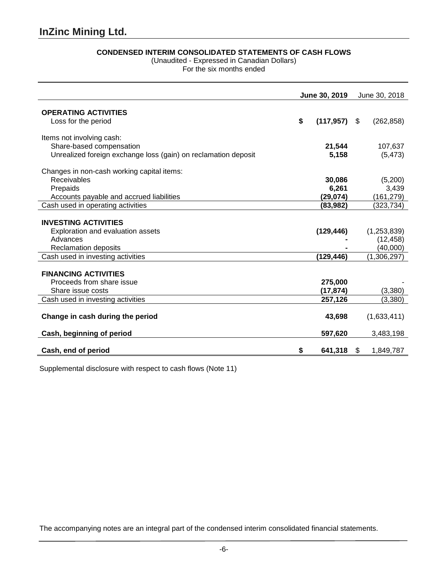# **CONDENSED INTERIM CONSOLIDATED STATEMENTS OF CASH FLOWS**

(Unaudited - Expressed in Canadian Dollars)

For the six months ended

|                                                                | June 30, 2019 |            |    | June 30, 2018 |
|----------------------------------------------------------------|---------------|------------|----|---------------|
|                                                                |               |            |    |               |
| <b>OPERATING ACTIVITIES</b>                                    | \$            |            |    |               |
| Loss for the period                                            |               | (117, 957) | \$ | (262, 858)    |
| Items not involving cash:                                      |               |            |    |               |
| Share-based compensation                                       |               | 21,544     |    | 107,637       |
| Unrealized foreign exchange loss (gain) on reclamation deposit |               | 5,158      |    | (5, 473)      |
| Changes in non-cash working capital items:                     |               |            |    |               |
| <b>Receivables</b>                                             |               | 30,086     |    | (5,200)       |
| Prepaids                                                       |               | 6,261      |    | 3,439         |
| Accounts payable and accrued liabilities                       |               | (29, 074)  |    | (161, 279)    |
| Cash used in operating activities                              |               | (83,982)   |    | (323,734)     |
|                                                                |               |            |    |               |
| <b>INVESTING ACTIVITIES</b>                                    |               |            |    |               |
| Exploration and evaluation assets                              |               | (129, 446) |    | (1, 253, 839) |
| Advances                                                       |               |            |    | (12, 458)     |
| Reclamation deposits                                           |               |            |    | (40,000)      |
| Cash used in investing activities                              |               | (129,446)  |    | (1,306,297)   |
| <b>FINANCING ACTIVITIES</b>                                    |               |            |    |               |
| Proceeds from share issue                                      |               | 275,000    |    |               |
| Share issue costs                                              |               | (17, 874)  |    | (3,380)       |
| Cash used in investing activities                              |               | 257,126    |    | (3,380)       |
|                                                                |               |            |    |               |
| Change in cash during the period                               |               | 43,698     |    | (1,633,411)   |
| Cash, beginning of period                                      |               | 597,620    |    | 3,483,198     |
| Cash, end of period                                            | S             | 641,318    | S. | 1,849,787     |
|                                                                |               |            |    |               |

Supplemental disclosure with respect to cash flows (Note 11)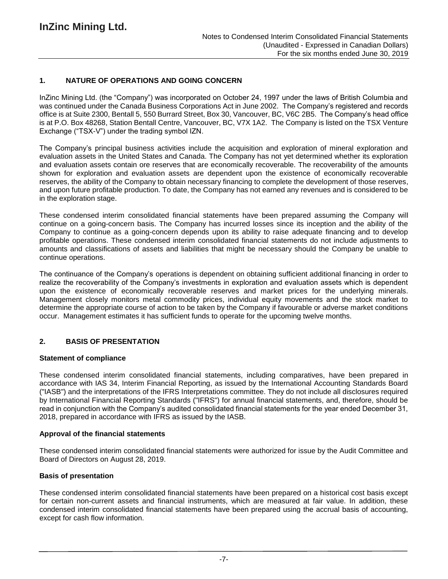## **1. NATURE OF OPERATIONS AND GOING CONCERN**

InZinc Mining Ltd. (the "Company") was incorporated on October 24, 1997 under the laws of British Columbia and was continued under the Canada Business Corporations Act in June 2002. The Company's registered and records office is at Suite 2300, Bentall 5, 550 Burrard Street, Box 30, Vancouver, BC, V6C 2B5. The Company's head office is at P.O. Box 48268, Station Bentall Centre, Vancouver, BC, V7X 1A2. The Company is listed on the TSX Venture Exchange ("TSX-V") under the trading symbol IZN.

The Company's principal business activities include the acquisition and exploration of mineral exploration and evaluation assets in the United States and Canada. The Company has not yet determined whether its exploration and evaluation assets contain ore reserves that are economically recoverable. The recoverability of the amounts shown for exploration and evaluation assets are dependent upon the existence of economically recoverable reserves, the ability of the Company to obtain necessary financing to complete the development of those reserves, and upon future profitable production. To date, the Company has not earned any revenues and is considered to be in the exploration stage.

These condensed interim consolidated financial statements have been prepared assuming the Company will continue on a going-concern basis. The Company has incurred losses since its inception and the ability of the Company to continue as a going-concern depends upon its ability to raise adequate financing and to develop profitable operations. These condensed interim consolidated financial statements do not include adjustments to amounts and classifications of assets and liabilities that might be necessary should the Company be unable to continue operations.

The continuance of the Company's operations is dependent on obtaining sufficient additional financing in order to realize the recoverability of the Company's investments in exploration and evaluation assets which is dependent upon the existence of economically recoverable reserves and market prices for the underlying minerals. Management closely monitors metal commodity prices, individual equity movements and the stock market to determine the appropriate course of action to be taken by the Company if favourable or adverse market conditions occur. Management estimates it has sufficient funds to operate for the upcoming twelve months.

# **2. BASIS OF PRESENTATION**

### **Statement of compliance**

These condensed interim consolidated financial statements, including comparatives, have been prepared in accordance with IAS 34, Interim Financial Reporting, as issued by the International Accounting Standards Board ("IASB") and the interpretations of the IFRS Interpretations committee. They do not include all disclosures required by International Financial Reporting Standards ("IFRS") for annual financial statements, and, therefore, should be read in conjunction with the Company's audited consolidated financial statements for the year ended December 31, 2018, prepared in accordance with IFRS as issued by the IASB.

### **Approval of the financial statements**

These condensed interim consolidated financial statements were authorized for issue by the Audit Committee and Board of Directors on August 28, 2019.

### **Basis of presentation**

These condensed interim consolidated financial statements have been prepared on a historical cost basis except for certain non-current assets and financial instruments, which are measured at fair value. In addition, these condensed interim consolidated financial statements have been prepared using the accrual basis of accounting, except for cash flow information.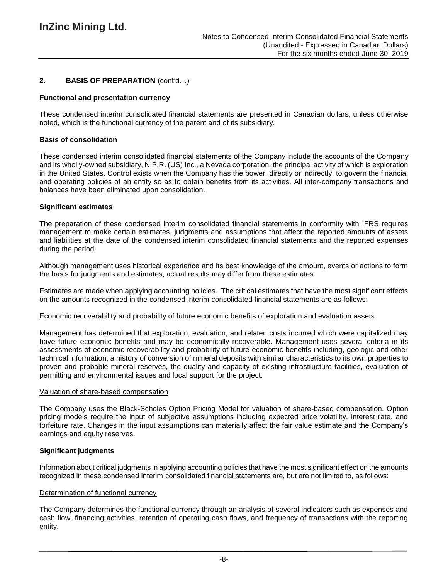# **2. BASIS OF PREPARATION** (cont'd…)

## **Functional and presentation currency**

These condensed interim consolidated financial statements are presented in Canadian dollars, unless otherwise noted, which is the functional currency of the parent and of its subsidiary.

### **Basis of consolidation**

These condensed interim consolidated financial statements of the Company include the accounts of the Company and its wholly-owned subsidiary, N.P.R. (US) Inc., a Nevada corporation, the principal activity of which is exploration in the United States. Control exists when the Company has the power, directly or indirectly, to govern the financial and operating policies of an entity so as to obtain benefits from its activities. All inter-company transactions and balances have been eliminated upon consolidation.

## **Significant estimates**

The preparation of these condensed interim consolidated financial statements in conformity with IFRS requires management to make certain estimates, judgments and assumptions that affect the reported amounts of assets and liabilities at the date of the condensed interim consolidated financial statements and the reported expenses during the period.

Although management uses historical experience and its best knowledge of the amount, events or actions to form the basis for judgments and estimates, actual results may differ from these estimates.

Estimates are made when applying accounting policies. The critical estimates that have the most significant effects on the amounts recognized in the condensed interim consolidated financial statements are as follows:

### Economic recoverability and probability of future economic benefits of exploration and evaluation assets

Management has determined that exploration, evaluation, and related costs incurred which were capitalized may have future economic benefits and may be economically recoverable. Management uses several criteria in its assessments of economic recoverability and probability of future economic benefits including, geologic and other technical information, a history of conversion of mineral deposits with similar characteristics to its own properties to proven and probable mineral reserves, the quality and capacity of existing infrastructure facilities, evaluation of permitting and environmental issues and local support for the project.

### Valuation of share-based compensation

The Company uses the Black-Scholes Option Pricing Model for valuation of share-based compensation. Option pricing models require the input of subjective assumptions including expected price volatility, interest rate, and forfeiture rate. Changes in the input assumptions can materially affect the fair value estimate and the Company's earnings and equity reserves.

### **Significant judgments**

Information about critical judgments in applying accounting policies that have the most significant effect on the amounts recognized in these condensed interim consolidated financial statements are, but are not limited to, as follows:

### Determination of functional currency

The Company determines the functional currency through an analysis of several indicators such as expenses and cash flow, financing activities, retention of operating cash flows, and frequency of transactions with the reporting entity.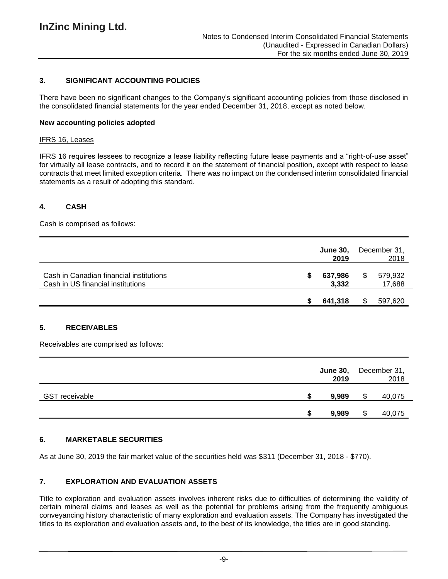# **3. SIGNIFICANT ACCOUNTING POLICIES**

There have been no significant changes to the Company's significant accounting policies from those disclosed in the consolidated financial statements for the year ended December 31, 2018, except as noted below.

### **New accounting policies adopted**

#### IFRS 16, Leases

IFRS 16 requires lessees to recognize a lease liability reflecting future lease payments and a "right-of-use asset" for virtually all lease contracts, and to record it on the statement of financial position, except with respect to lease contracts that meet limited exception criteria. There was no impact on the condensed interim consolidated financial statements as a result of adopting this standard.

## **4. CASH**

Cash is comprised as follows:

|                                                                              |   | <b>June 30.</b><br>2019 |   | December 31,<br>2018 |
|------------------------------------------------------------------------------|---|-------------------------|---|----------------------|
| Cash in Canadian financial institutions<br>Cash in US financial institutions | S | 637,986<br>3,332        | S | 579,932<br>17,688    |
|                                                                              |   | 641,318                 |   | 597,620              |

### **5. RECEIVABLES**

Receivables are comprised as follows:

|                       | <b>June 30,</b><br>2019 |   | December 31,<br>2018 |
|-----------------------|-------------------------|---|----------------------|
| <b>GST</b> receivable | 9,989                   | S | 40,075               |
|                       | \$<br>9,989             | S | 40,075               |

### **6. MARKETABLE SECURITIES**

As at June 30, 2019 the fair market value of the securities held was \$311 (December 31, 2018 - \$770).

### **7. EXPLORATION AND EVALUATION ASSETS**

Title to exploration and evaluation assets involves inherent risks due to difficulties of determining the validity of certain mineral claims and leases as well as the potential for problems arising from the frequently ambiguous conveyancing history characteristic of many exploration and evaluation assets. The Company has investigated the titles to its exploration and evaluation assets and, to the best of its knowledge, the titles are in good standing.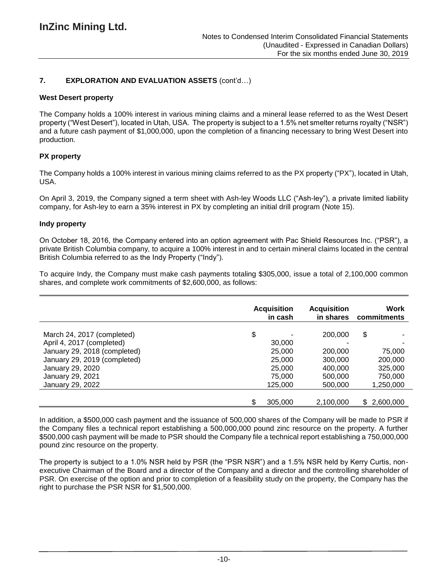# **7. EXPLORATION AND EVALUATION ASSETS** (cont'd…)

## **West Desert property**

The Company holds a 100% interest in various mining claims and a mineral lease referred to as the West Desert property ("West Desert"), located in Utah, USA. The property is subject to a 1.5% net smelter returns royalty ("NSR") and a future cash payment of \$1,000,000, upon the completion of a financing necessary to bring West Desert into production.

# **PX property**

The Company holds a 100% interest in various mining claims referred to as the PX property ("PX"), located in Utah, USA.

On April 3, 2019, the Company signed a term sheet with Ash-ley Woods LLC ("Ash-ley"), a private limited liability company, for Ash-ley to earn a 35% interest in PX by completing an initial drill program (Note 15).

### **Indy property**

On October 18, 2016, the Company entered into an option agreement with Pac Shield Resources Inc. ("PSR"), a private British Columbia company, to acquire a 100% interest in and to certain mineral claims located in the central British Columbia referred to as the Indy Property ("Indy").

To acquire Indy, the Company must make cash payments totaling \$305,000, issue a total of 2,100,000 common shares, and complete work commitments of \$2,600,000, as follows:

|                              | <b>Acquisition</b><br>in cash |           | Work<br>commitments |
|------------------------------|-------------------------------|-----------|---------------------|
| March 24, 2017 (completed)   | \$                            | 200,000   | \$                  |
| April 4, 2017 (completed)    | 30,000                        |           |                     |
| January 29, 2018 (completed) | 25,000                        | 200,000   | 75,000              |
| January 29, 2019 (completed) | 25,000                        | 300,000   | 200,000             |
| January 29, 2020             | 25,000                        | 400,000   | 325,000             |
| January 29, 2021             | 75,000                        | 500,000   | 750,000             |
| January 29, 2022             | 125,000                       | 500,000   | 1,250,000           |
|                              |                               |           |                     |
|                              | 305,000                       | 2.100.000 | \$2,600,000         |

In addition, a \$500,000 cash payment and the issuance of 500,000 shares of the Company will be made to PSR if the Company files a technical report establishing a 500,000,000 pound zinc resource on the property. A further \$500,000 cash payment will be made to PSR should the Company file a technical report establishing a 750,000,000 pound zinc resource on the property.

The property is subject to a 1.0% NSR held by PSR (the "PSR NSR") and a 1.5% NSR held by Kerry Curtis, nonexecutive Chairman of the Board and a director of the Company and a director and the controlling shareholder of PSR. On exercise of the option and prior to completion of a feasibility study on the property, the Company has the right to purchase the PSR NSR for \$1,500,000.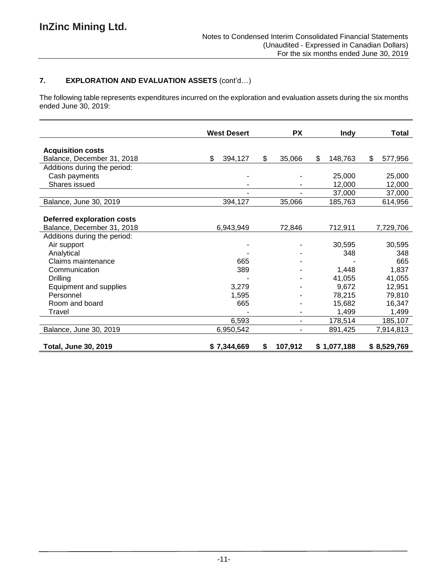# **7. EXPLORATION AND EVALUATION ASSETS** (cont'd…)

The following table represents expenditures incurred on the exploration and evaluation assets during the six months ended June 30, 2019:

|                                   | <b>West Desert</b> | <b>PX</b>     | <b>Indy</b>   | <b>Total</b>  |
|-----------------------------------|--------------------|---------------|---------------|---------------|
|                                   |                    |               |               |               |
| <b>Acquisition costs</b>          |                    |               |               |               |
| Balance, December 31, 2018        | \$<br>394,127      | \$<br>35,066  | \$<br>148,763 | \$<br>577,956 |
| Additions during the period:      |                    |               |               |               |
| Cash payments                     |                    |               | 25,000        | 25,000        |
| Shares issued                     |                    |               | 12,000        | 12,000        |
|                                   |                    |               | 37,000        | 37,000        |
| Balance, June 30, 2019            | 394,127            | 35,066        | 185,763       | 614,956       |
|                                   |                    |               |               |               |
| <b>Deferred exploration costs</b> |                    |               |               |               |
| Balance, December 31, 2018        | 6,943,949          | 72,846        | 712,911       | 7,729,706     |
| Additions during the period:      |                    |               |               |               |
| Air support                       |                    |               | 30,595        | 30,595        |
| Analytical                        |                    |               | 348           | 348           |
| Claims maintenance                | 665                |               |               | 665           |
| Communication                     | 389                |               | 1,448         | 1,837         |
| Drilling                          |                    |               | 41,055        | 41,055        |
| Equipment and supplies            | 3,279              |               | 9,672         | 12,951        |
| Personnel                         | 1,595              |               | 78,215        | 79,810        |
| Room and board                    | 665                |               | 15,682        | 16,347        |
| Travel                            |                    |               | 1,499         | 1,499         |
|                                   | 6,593              | ۰             | 178,514       | 185,107       |
| Balance, June 30, 2019            | 6,950,542          | ۰             | 891,425       | 7,914,813     |
|                                   |                    |               |               |               |
| <b>Total, June 30, 2019</b>       | \$7,344,669        | \$<br>107,912 | \$1,077,188   | \$8,529,769   |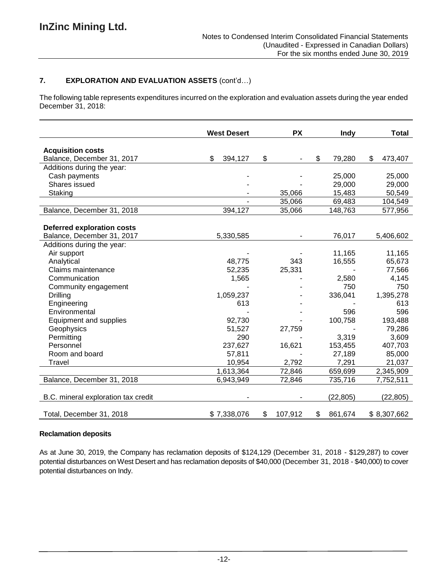# **7. EXPLORATION AND EVALUATION ASSETS** (cont'd…)

The following table represents expenditures incurred on the exploration and evaluation assets during the year ended December 31, 2018:

|                                     | <b>West Desert</b> | <b>PX</b>     | Indy          | <b>Total</b>  |
|-------------------------------------|--------------------|---------------|---------------|---------------|
| <b>Acquisition costs</b>            |                    |               |               |               |
| Balance, December 31, 2017          | \$<br>394,127      | \$            | \$<br>79,280  | \$<br>473,407 |
| Additions during the year:          |                    |               |               |               |
| Cash payments                       |                    |               | 25,000        | 25,000        |
| Shares issued                       |                    |               | 29,000        | 29,000        |
| Staking                             |                    | 35,066        | 15,483        | 50,549        |
|                                     |                    | 35,066        | 69,483        | 104,549       |
| Balance, December 31, 2018          | 394,127            | 35,066        | 148,763       | 577,956       |
|                                     |                    |               |               |               |
| <b>Deferred exploration costs</b>   |                    |               |               |               |
| Balance, December 31, 2017          | 5,330,585          |               | 76,017        | 5,406,602     |
| Additions during the year:          |                    |               |               |               |
| Air support                         |                    |               | 11,165        | 11,165        |
| Analytical                          | 48,775             | 343           | 16,555        | 65,673        |
| Claims maintenance                  | 52,235             | 25,331        |               | 77,566        |
| Communication                       | 1,565              |               | 2,580         | 4,145         |
| Community engagement                |                    |               | 750           | 750           |
| <b>Drilling</b>                     | 1,059,237          |               | 336,041       | 1,395,278     |
| Engineering                         | 613                |               |               | 613           |
| Environmental                       |                    |               | 596           | 596           |
| Equipment and supplies              | 92,730             |               | 100,758       | 193,488       |
| Geophysics                          | 51,527             | 27,759        |               | 79,286        |
| Permitting                          | 290                |               | 3,319         | 3,609         |
| Personnel                           | 237,627            | 16,621        | 153,455       | 407,703       |
| Room and board                      | 57,811             |               | 27,189        | 85,000        |
| Travel                              | 10,954             | 2,792         | 7,291         | 21,037        |
|                                     | 1,613,364          | 72,846        | 659,699       | 2,345,909     |
| Balance, December 31, 2018          | 6,943,949          | 72,846        | 735,716       | 7,752,511     |
| B.C. mineral exploration tax credit |                    |               | (22, 805)     | (22, 805)     |
| Total, December 31, 2018            | \$7,338,076        | \$<br>107,912 | \$<br>861,674 | \$8,307,662   |

# **Reclamation deposits**

As at June 30, 2019, the Company has reclamation deposits of \$124,129 (December 31, 2018 - \$129,287) to cover potential disturbances on West Desert and has reclamation deposits of \$40,000 (December 31, 2018 - \$40,000) to cover potential disturbances on Indy.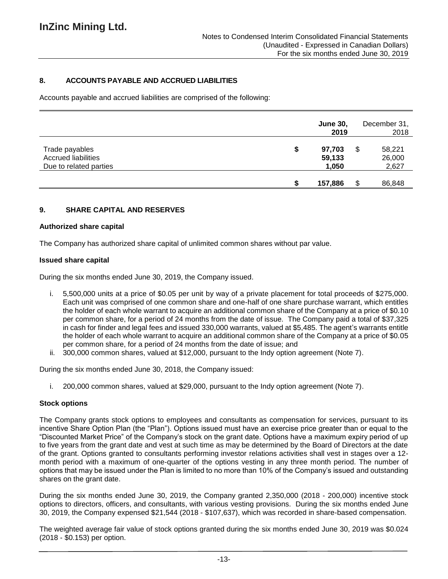# **8. ACCOUNTS PAYABLE AND ACCRUED LIABILITIES**

Accounts payable and accrued liabilities are comprised of the following:

|                                                                        |   | <b>June 30,</b><br>2019   |    | December 31,<br>2018      |
|------------------------------------------------------------------------|---|---------------------------|----|---------------------------|
| Trade payables<br><b>Accrued liabilities</b><br>Due to related parties | S | 97,703<br>59,133<br>1,050 | \$ | 58,221<br>26,000<br>2,627 |
|                                                                        |   | 157,886                   | S  | 86,848                    |

## **9. SHARE CAPITAL AND RESERVES**

#### **Authorized share capital**

The Company has authorized share capital of unlimited common shares without par value.

### **Issued share capital**

During the six months ended June 30, 2019, the Company issued.

- i. 5,500,000 units at a price of \$0.05 per unit by way of a private placement for total proceeds of \$275,000. Each unit was comprised of one common share and one-half of one share purchase warrant, which entitles the holder of each whole warrant to acquire an additional common share of the Company at a price of \$0.10 per common share, for a period of 24 months from the date of issue. The Company paid a total of \$37,325 in cash for finder and legal fees and issued 330,000 warrants, valued at \$5,485. The agent's warrants entitle the holder of each whole warrant to acquire an additional common share of the Company at a price of \$0.05 per common share, for a period of 24 months from the date of issue; and
- ii. 300,000 common shares, valued at \$12,000, pursuant to the Indy option agreement (Note 7).

During the six months ended June 30, 2018, the Company issued:

i. 200,000 common shares, valued at \$29,000, pursuant to the Indy option agreement (Note 7).

### **Stock options**

The Company grants stock options to employees and consultants as compensation for services, pursuant to its incentive Share Option Plan (the "Plan"). Options issued must have an exercise price greater than or equal to the "Discounted Market Price" of the Company's stock on the grant date. Options have a maximum expiry period of up to five years from the grant date and vest at such time as may be determined by the Board of Directors at the date of the grant. Options granted to consultants performing investor relations activities shall vest in stages over a 12 month period with a maximum of one-quarter of the options vesting in any three month period. The number of options that may be issued under the Plan is limited to no more than 10% of the Company's issued and outstanding shares on the grant date.

During the six months ended June 30, 2019, the Company granted 2,350,000 (2018 - 200,000) incentive stock options to directors, officers, and consultants, with various vesting provisions. During the six months ended June 30, 2019, the Company expensed \$21,544 (2018 - \$107,637), which was recorded in share-based compensation.

The weighted average fair value of stock options granted during the six months ended June 30, 2019 was \$0.024 (2018 - \$0.153) per option.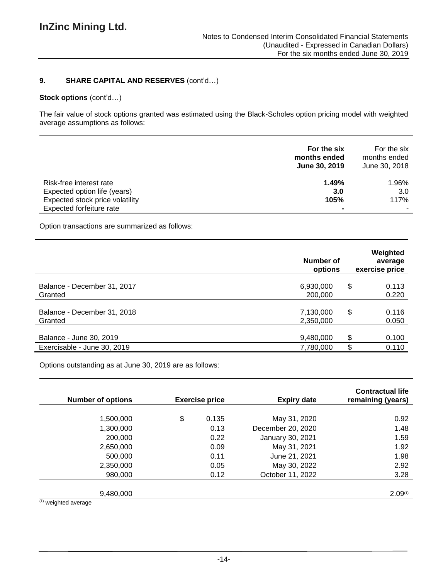## **9. SHARE CAPITAL AND RESERVES** (cont'd…)

## **Stock options** (cont'd…)

The fair value of stock options granted was estimated using the Black-Scholes option pricing model with weighted average assumptions as follows:

|                                 | For the six<br>months ended<br>June 30, 2019 | For the six<br>months ended<br>June 30, 2018 |
|---------------------------------|----------------------------------------------|----------------------------------------------|
| Risk-free interest rate         | 1.49%                                        | 1.96%                                        |
| Expected option life (years)    | 3.0                                          | 3.0                                          |
| Expected stock price volatility | 105%                                         | 117%                                         |
| Expected forfeiture rate        |                                              |                                              |

Option transactions are summarized as follows:

|                                                        | Number of<br>options   | Weighted<br>average<br>exercise price |
|--------------------------------------------------------|------------------------|---------------------------------------|
| Balance - December 31, 2017<br>Granted                 | 6,930,000<br>200,000   | \$<br>0.113<br>0.220                  |
| Balance - December 31, 2018<br>Granted                 | 7,130,000<br>2,350,000 | \$<br>0.116<br>0.050                  |
| Balance - June 30, 2019<br>Exercisable - June 30, 2019 | 9,480,000<br>7,780,000 | \$<br>0.100<br>\$<br>0.110            |

Options outstanding as at June 30, 2019 are as follows:

| <b>Exercise price</b> |       |                   |         | <b>Expiry date</b> | <b>Contractual life</b><br>remaining (years) |
|-----------------------|-------|-------------------|---------|--------------------|----------------------------------------------|
|                       |       |                   |         |                    |                                              |
| \$                    | 0.135 | May 31, 2020      | 0.92    |                    |                                              |
|                       | 0.13  | December 20, 2020 | 1.48    |                    |                                              |
|                       | 0.22  | January 30, 2021  | 1.59    |                    |                                              |
|                       | 0.09  | May 31, 2021      | 1.92    |                    |                                              |
|                       | 0.11  | June 21, 2021     | 1.98    |                    |                                              |
|                       | 0.05  | May 30, 2022      | 2.92    |                    |                                              |
|                       | 0.12  | October 11, 2022  | 3.28    |                    |                                              |
|                       |       |                   |         |                    |                                              |
|                       |       |                   | 2.09(1) |                    |                                              |
|                       |       |                   |         |                    |                                              |

(1) weighted average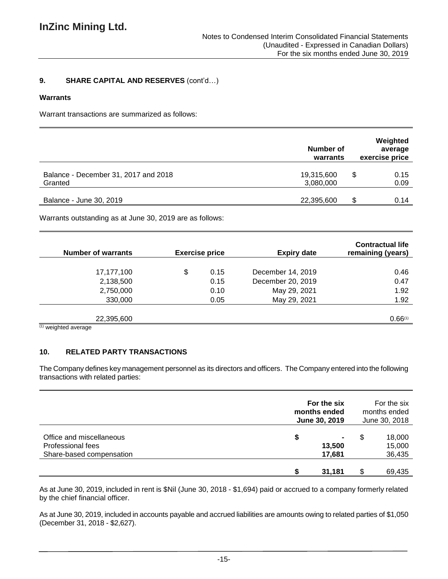# **9. SHARE CAPITAL AND RESERVES** (cont'd…)

#### **Warrants**

Warrant transactions are summarized as follows:

|                                                 | Number of<br>warrants   | Weighted<br>average<br>exercise price |
|-------------------------------------------------|-------------------------|---------------------------------------|
| Balance - December 31, 2017 and 2018<br>Granted | 19,315,600<br>3,080,000 | S<br>0.15<br>0.09                     |
| Balance - June 30, 2019                         | 22,395,600              | 0.14                                  |

Warrants outstanding as at June 30, 2019 are as follows:

| <b>Number of warrants</b> | <b>Exercise price</b> |      | <b>Expiry date</b> | <b>Contractual life</b><br>remaining (years) |  |  |
|---------------------------|-----------------------|------|--------------------|----------------------------------------------|--|--|
|                           |                       |      |                    |                                              |  |  |
| 17,177,100                | \$                    | 0.15 | December 14, 2019  | 0.46                                         |  |  |
| 2,138,500                 |                       | 0.15 | December 20, 2019  | 0.47                                         |  |  |
| 2,750,000                 |                       | 0.10 | May 29, 2021       | 1.92                                         |  |  |
| 330,000                   |                       | 0.05 | May 29, 2021       | 1.92                                         |  |  |
|                           |                       |      |                    |                                              |  |  |
| 22,395,600                |                       |      |                    | 0.66(1)                                      |  |  |
| $(1)$ unighted overage    |                       |      |                    |                                              |  |  |

weighted average

# **10. RELATED PARTY TRANSACTIONS**

The Company defines key management personnel as its directors and officers. The Company entered into the following transactions with related parties:

|                                                                                  |   | For the six<br>months ended<br>June 30, 2019 |    | For the six<br>months ended<br>June 30, 2018 |  |
|----------------------------------------------------------------------------------|---|----------------------------------------------|----|----------------------------------------------|--|
| Office and miscellaneous<br><b>Professional fees</b><br>Share-based compensation | S | ۰<br>13,500<br>17,681                        | S  | 18,000<br>15,000<br>36,435                   |  |
|                                                                                  |   | 31,181                                       | S. | 69,435                                       |  |

As at June 30, 2019, included in rent is \$Nil (June 30, 2018 - \$1,694) paid or accrued to a company formerly related by the chief financial officer.

As at June 30, 2019, included in accounts payable and accrued liabilities are amounts owing to related parties of \$1,050 (December 31, 2018 - \$2,627).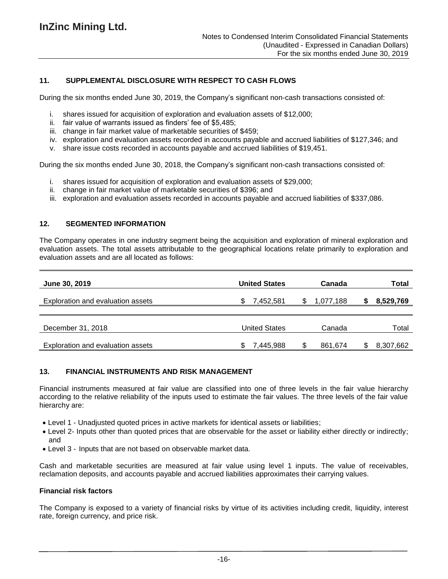# **11. SUPPLEMENTAL DISCLOSURE WITH RESPECT TO CASH FLOWS**

During the six months ended June 30, 2019, the Company's significant non-cash transactions consisted of:

- i. shares issued for acquisition of exploration and evaluation assets of \$12,000;
- ii. fair value of warrants issued as finders' fee of \$5,485;
- iii. change in fair market value of marketable securities of \$459;
- iv. exploration and evaluation assets recorded in accounts payable and accrued liabilities of \$127,346; and
- v. share issue costs recorded in accounts payable and accrued liabilities of \$19,451.

During the six months ended June 30, 2018, the Company's significant non-cash transactions consisted of:

- i. shares issued for acquisition of exploration and evaluation assets of \$29,000;
- ii. change in fair market value of marketable securities of \$396; and
- iii. exploration and evaluation assets recorded in accounts payable and accrued liabilities of \$337,086.

### **12. SEGMENTED INFORMATION**

The Company operates in one industry segment being the acquisition and exploration of mineral exploration and evaluation assets. The total assets attributable to the geographical locations relate primarily to exploration and evaluation assets and are all located as follows:

| June 30, 2019                            | <b>United States</b> |    | Canada    | Total     |
|------------------------------------------|----------------------|----|-----------|-----------|
| <b>Exploration and evaluation assets</b> | 7,452,581            | S. | 1,077,188 | 8,529,769 |
|                                          |                      |    |           |           |
| December 31, 2018                        | <b>United States</b> |    | Canada    | Total     |
| Exploration and evaluation assets        | 7,445,988<br>SБ      |    | 861,674   | 8,307,662 |

## **13. FINANCIAL INSTRUMENTS AND RISK MANAGEMENT**

Financial instruments measured at fair value are classified into one of three levels in the fair value hierarchy according to the relative reliability of the inputs used to estimate the fair values. The three levels of the fair value hierarchy are:

- Level 1 Unadjusted quoted prices in active markets for identical assets or liabilities;
- Level 2- Inputs other than quoted prices that are observable for the asset or liability either directly or indirectly; and
- Level 3 Inputs that are not based on observable market data.

Cash and marketable securities are measured at fair value using level 1 inputs. The value of receivables, reclamation deposits, and accounts payable and accrued liabilities approximates their carrying values.

## **Financial risk factors**

The Company is exposed to a variety of financial risks by virtue of its activities including credit, liquidity, interest rate, foreign currency, and price risk.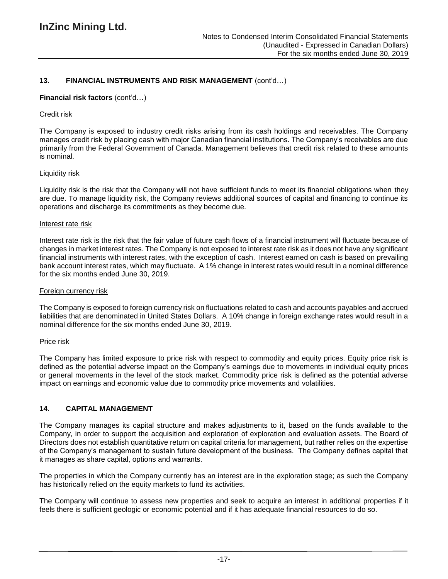## **13. FINANCIAL INSTRUMENTS AND RISK MANAGEMENT** (cont'd…)

#### **Financial risk factors** (cont'd…)

#### Credit risk

The Company is exposed to industry credit risks arising from its cash holdings and receivables. The Company manages credit risk by placing cash with major Canadian financial institutions. The Company's receivables are due primarily from the Federal Government of Canada. Management believes that credit risk related to these amounts is nominal.

#### Liquidity risk

Liquidity risk is the risk that the Company will not have sufficient funds to meet its financial obligations when they are due. To manage liquidity risk, the Company reviews additional sources of capital and financing to continue its operations and discharge its commitments as they become due.

#### Interest rate risk

Interest rate risk is the risk that the fair value of future cash flows of a financial instrument will fluctuate because of changes in market interest rates. The Company is not exposed to interest rate risk as it does not have any significant financial instruments with interest rates, with the exception of cash. Interest earned on cash is based on prevailing bank account interest rates, which may fluctuate. A 1% change in interest rates would result in a nominal difference for the six months ended June 30, 2019.

#### Foreign currency risk

The Company is exposed to foreign currency risk on fluctuations related to cash and accounts payables and accrued liabilities that are denominated in United States Dollars. A 10% change in foreign exchange rates would result in a nominal difference for the six months ended June 30, 2019.

#### Price risk

The Company has limited exposure to price risk with respect to commodity and equity prices. Equity price risk is defined as the potential adverse impact on the Company's earnings due to movements in individual equity prices or general movements in the level of the stock market. Commodity price risk is defined as the potential adverse impact on earnings and economic value due to commodity price movements and volatilities.

### **14. CAPITAL MANAGEMENT**

The Company manages its capital structure and makes adjustments to it, based on the funds available to the Company, in order to support the acquisition and exploration of exploration and evaluation assets. The Board of Directors does not establish quantitative return on capital criteria for management, but rather relies on the expertise of the Company's management to sustain future development of the business. The Company defines capital that it manages as share capital, options and warrants.

The properties in which the Company currently has an interest are in the exploration stage; as such the Company has historically relied on the equity markets to fund its activities.

The Company will continue to assess new properties and seek to acquire an interest in additional properties if it feels there is sufficient geologic or economic potential and if it has adequate financial resources to do so.